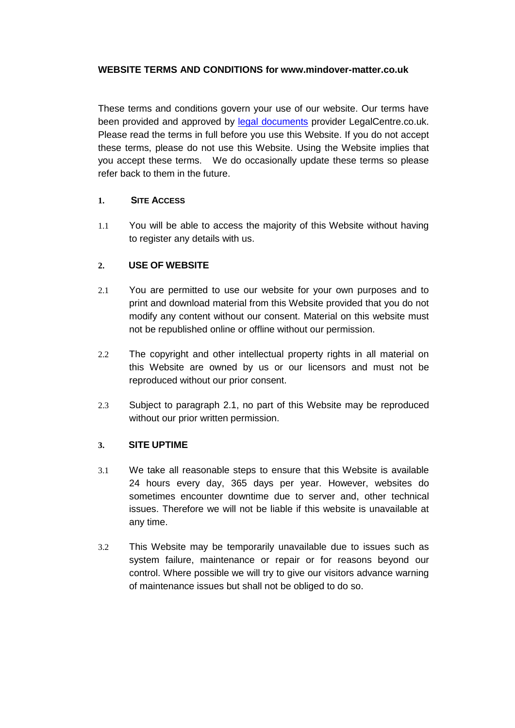#### **WEBSITE TERMS AND CONDITIONS for www.mindover-matter.co.uk**

These terms and conditions govern your use of our website. Our terms have been provided and approved by [legal documents](http://www.legalcentre.co.uk/) provider LegalCentre.co.uk. Please read the terms in full before you use this Website. If you do not accept these terms, please do not use this Website. Using the Website implies that you accept these terms. We do occasionally update these terms so please refer back to them in the future.

#### **1. SITE ACCESS**

1.1 You will be able to access the majority of this Website without having to register any details with us.

# <span id="page-0-0"></span>**2. USE OF WEBSITE**

- 2.1 You are permitted to use our website for your own purposes and to print and download material from this Website provided that you do not modify any content without our consent. Material on this website must not be republished online or offline without our permission.
- 2.2 The copyright and other intellectual property rights in all material on this Website are owned by us or our licensors and must not be reproduced without our prior consent.
- 2.3 Subject to paragraph [2.1,](#page-0-0) no part of this Website may be reproduced without our prior written permission.

# **3. SITE UPTIME**

- 3.1 We take all reasonable steps to ensure that this Website is available 24 hours every day, 365 days per year. However, websites do sometimes encounter downtime due to server and, other technical issues. Therefore we will not be liable if this website is unavailable at any time.
- 3.2 This Website may be temporarily unavailable due to issues such as system failure, maintenance or repair or for reasons beyond our control. Where possible we will try to give our visitors advance warning of maintenance issues but shall not be obliged to do so.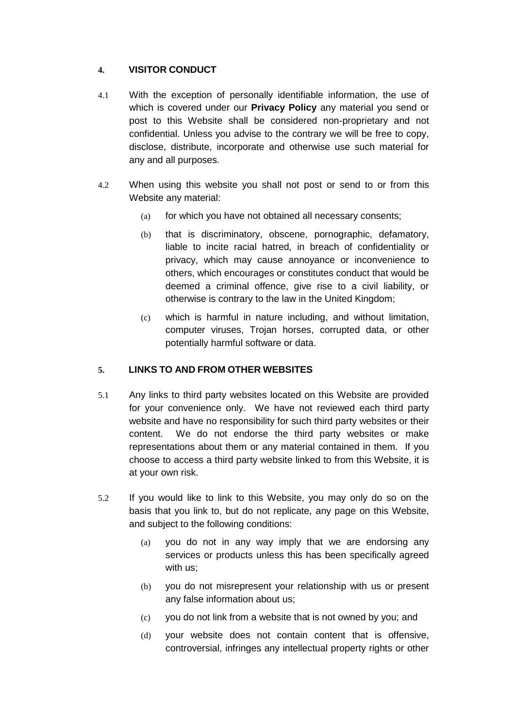# **4. VISITOR CONDUCT**

- 4.1 With the exception of personally identifiable information, the use of which is covered under our **Privacy Policy** any material you send or post to this Website shall be considered non-proprietary and not confidential. Unless you advise to the contrary we will be free to copy, disclose, distribute, incorporate and otherwise use such material for any and all purposes.
- 4.2 When using this website you shall not post or send to or from this Website any material:
	- (a) for which you have not obtained all necessary consents;
	- (b) that is discriminatory, obscene, pornographic, defamatory, liable to incite racial hatred, in breach of confidentiality or privacy, which may cause annoyance or inconvenience to others, which encourages or constitutes conduct that would be deemed a criminal offence, give rise to a civil liability, or otherwise is contrary to the law in the United Kingdom;
	- (c) which is harmful in nature including, and without limitation, computer viruses, Trojan horses, corrupted data, or other potentially harmful software or data.

# **5. LINKS TO AND FROM OTHER WEBSITES**

- 5.1 Any links to third party websites located on this Website are provided for your convenience only. We have not reviewed each third party website and have no responsibility for such third party websites or their content. We do not endorse the third party websites or make representations about them or any material contained in them. If you choose to access a third party website linked to from this Website, it is at your own risk.
- 5.2 If you would like to link to this Website, you may only do so on the basis that you link to, but do not replicate, any page on this Website, and subject to the following conditions:
	- (a) you do not in any way imply that we are endorsing any services or products unless this has been specifically agreed with us;
	- (b) you do not misrepresent your relationship with us or present any false information about us;
	- (c) you do not link from a website that is not owned by you; and
	- (d) your website does not contain content that is offensive, controversial, infringes any intellectual property rights or other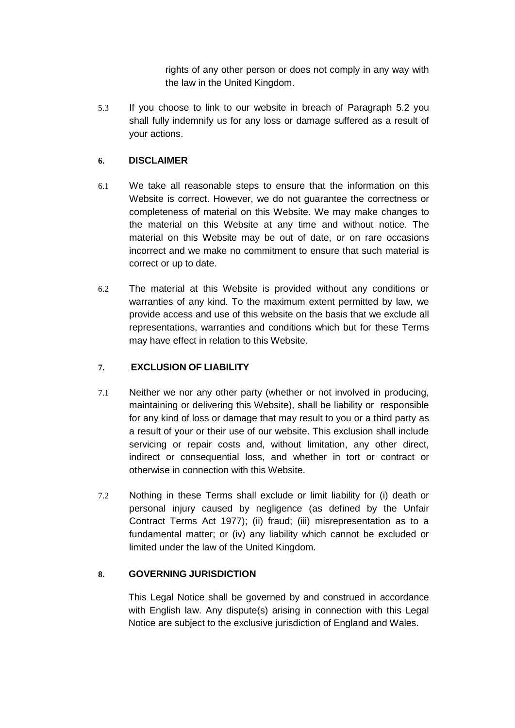rights of any other person or does not comply in any way with the law in the United Kingdom.

5.3 If you choose to link to our website in breach of Paragraph 5.2 you shall fully indemnify us for any loss or damage suffered as a result of your actions.

# **6. DISCLAIMER**

- 6.1 We take all reasonable steps to ensure that the information on this Website is correct. However, we do not guarantee the correctness or completeness of material on this Website. We may make changes to the material on this Website at any time and without notice. The material on this Website may be out of date, or on rare occasions incorrect and we make no commitment to ensure that such material is correct or up to date.
- 6.2 The material at this Website is provided without any conditions or warranties of any kind. To the maximum extent permitted by law, we provide access and use of this website on the basis that we exclude all representations, warranties and conditions which but for these Terms may have effect in relation to this Website.

# **7. EXCLUSION OF LIABILITY**

- 7.1 Neither we nor any other party (whether or not involved in producing, maintaining or delivering this Website), shall be liability or responsible for any kind of loss or damage that may result to you or a third party as a result of your or their use of our website. This exclusion shall include servicing or repair costs and, without limitation, any other direct, indirect or consequential loss, and whether in tort or contract or otherwise in connection with this Website.
- 7.2 Nothing in these Terms shall exclude or limit liability for (i) death or personal injury caused by negligence (as defined by the Unfair Contract Terms Act 1977); (ii) fraud; (iii) misrepresentation as to a fundamental matter; or (iv) any liability which cannot be excluded or limited under the law of the United Kingdom.

# **8. GOVERNING JURISDICTION**

This Legal Notice shall be governed by and construed in accordance with English law. Any dispute(s) arising in connection with this Legal Notice are subject to the exclusive jurisdiction of England and Wales.